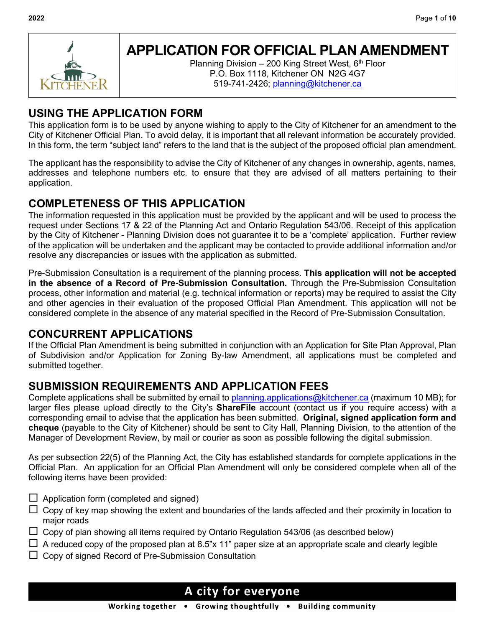

# **APPLICATION FOR OFFICIAL PLAN AMENDMENT**

Planning Division – 200 King Street West,  $6<sup>th</sup>$  Floor P.O. Box 1118, Kitchener ON N2G 4G7 519-741-2426; [planning@kitchener.ca](mailto:planning@kitchener.ca)

## **USING THE APPLICATION FORM**

This application form is to be used by anyone wishing to apply to the City of Kitchener for an amendment to the City of Kitchener Official Plan. To avoid delay, it is important that all relevant information be accurately provided. In this form, the term "subject land" refers to the land that is the subject of the proposed official plan amendment.

The applicant has the responsibility to advise the City of Kitchener of any changes in ownership, agents, names, addresses and telephone numbers etc. to ensure that they are advised of all matters pertaining to their application.

## **COMPLETENESS OF THIS APPLICATION**

The information requested in this application must be provided by the applicant and will be used to process the request under Sections 17 & 22 of the Planning Act and Ontario Regulation 543/06. Receipt of this application by the City of Kitchener - Planning Division does not guarantee it to be a 'complete' application. Further review of the application will be undertaken and the applicant may be contacted to provide additional information and/or resolve any discrepancies or issues with the application as submitted.

Pre-Submission Consultation is a requirement of the planning process. **This application will not be accepted in the absence of a Record of Pre-Submission Consultation.** Through the Pre-Submission Consultation process, other information and material (e.g. technical information or reports) may be required to assist the City and other agencies in their evaluation of the proposed Official Plan Amendment. This application will not be considered complete in the absence of any material specified in the Record of Pre-Submission Consultation.

## **CONCURRENT APPLICATIONS**

If the Official Plan Amendment is being submitted in conjunction with an Application for Site Plan Approval, Plan of Subdivision and/or Application for Zoning By-law Amendment, all applications must be completed and submitted together.

## **SUBMISSION REQUIREMENTS AND APPLICATION FEES**

Complete applications shall be submitted by email to [planning.applications@kitchener.ca](mailto:planning.applications@kitchener.ca) (maximum 10 MB); for larger files please upload directly to the City's **ShareFile** account (contact us if you require access) with a corresponding email to advise that the application has been submitted. **Original, signed application form and cheque** (payable to the City of Kitchener) should be sent to City Hall, Planning Division, to the attention of the Manager of Development Review, by mail or courier as soon as possible following the digital submission.

As per subsection 22(5) of the Planning Act, the City has established standards for complete applications in the Official Plan. An application for an Official Plan Amendment will only be considered complete when all of the following items have been provided:

- $\Box$  Application form (completed and signed)
- $\Box$  Copy of key map showing the extent and boundaries of the lands affected and their proximity in location to major roads
- $\Box$  Copy of plan showing all items required by Ontario Regulation 543/06 (as described below)
- $\Box$  A reduced copy of the proposed plan at 8.5"x 11" paper size at an appropriate scale and clearly legible
- $\Box$  Copy of signed Record of Pre-Submission Consultation

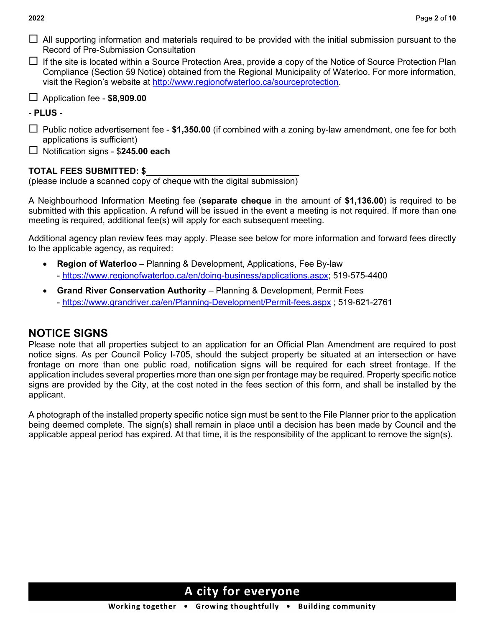- $\Box$  All supporting information and materials required to be provided with the initial submission pursuant to the Record of Pre-Submission Consultation
- $\Box$  If the site is located within a Source Protection Area, provide a copy of the Notice of Source Protection Plan Compliance (Section 59 Notice) obtained from the Regional Municipality of Waterloo. For more information, visit the Region's website at [http://www.regionofwaterloo.ca/sourceprotection.](http://www.regionofwaterloo.ca/sourceprotection)
- Application fee **\$8,909.00**

### **- PLUS -**

- □ Public notice advertisement fee \$1,350.00 (if combined with a zoning by-law amendment, one fee for both applications is sufficient)
- Notification signs \$**245.00 each**

### **TOTAL FEES SUBMITTED: \$**

(please include a scanned copy of cheque with the digital submission)

A Neighbourhood Information Meeting fee (**separate cheque** in the amount of **\$1,136.00**) is required to be submitted with this application. A refund will be issued in the event a meeting is not required. If more than one meeting is required, additional fee(s) will apply for each subsequent meeting.

Additional agency plan review fees may apply. Please see below for more information and forward fees directly to the applicable agency, as required:

- **Region of Waterloo** Planning & Development, Applications, Fee By-law - [https://www.regionofwaterloo.ca/en/doing-business/applications.aspx;](https://www.regionofwaterloo.ca/en/doing-business/applications.aspx) 519-575-4400
- **Grand River Conservation Authority** Planning & Development, Permit Fees - <https://www.grandriver.ca/en/Planning-Development/Permit-fees.aspx> ; 519-621-2761

## **NOTICE SIGNS**

Please note that all properties subject to an application for an Official Plan Amendment are required to post notice signs. As per Council Policy I-705, should the subject property be situated at an intersection or have frontage on more than one public road, notification signs will be required for each street frontage. If the application includes several properties more than one sign per frontage may be required. Property specific notice signs are provided by the City, at the cost noted in the fees section of this form, and shall be installed by the applicant.

A photograph of the installed property specific notice sign must be sent to the File Planner prior to the application being deemed complete. The sign(s) shall remain in place until a decision has been made by Council and the applicable appeal period has expired. At that time, it is the responsibility of the applicant to remove the sign(s).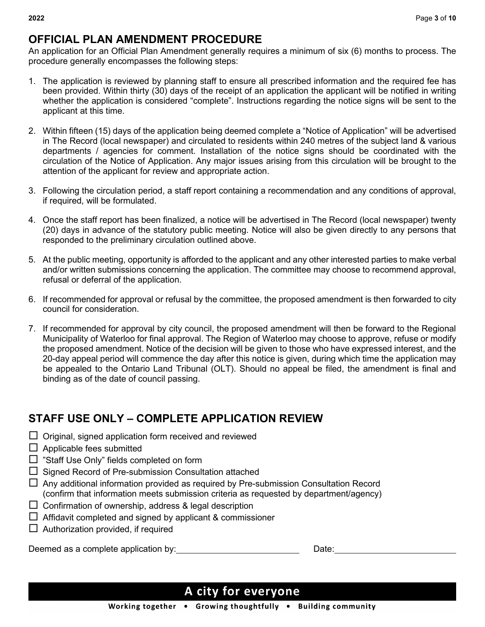### **OFFICIAL PLAN AMENDMENT PROCEDURE**

An application for an Official Plan Amendment generally requires a minimum of six (6) months to process. The procedure generally encompasses the following steps:

- 1. The application is reviewed by planning staff to ensure all prescribed information and the required fee has been provided. Within thirty (30) days of the receipt of an application the applicant will be notified in writing whether the application is considered "complete". Instructions regarding the notice signs will be sent to the applicant at this time.
- 2. Within fifteen (15) days of the application being deemed complete a "Notice of Application" will be advertised in The Record (local newspaper) and circulated to residents within 240 metres of the subject land & various departments / agencies for comment. Installation of the notice signs should be coordinated with the circulation of the Notice of Application. Any major issues arising from this circulation will be brought to the attention of the applicant for review and appropriate action.
- 3. Following the circulation period, a staff report containing a recommendation and any conditions of approval, if required, will be formulated.
- 4. Once the staff report has been finalized, a notice will be advertised in The Record (local newspaper) twenty (20) days in advance of the statutory public meeting. Notice will also be given directly to any persons that responded to the preliminary circulation outlined above.
- 5. At the public meeting, opportunity is afforded to the applicant and any other interested parties to make verbal and/or written submissions concerning the application. The committee may choose to recommend approval, refusal or deferral of the application.
- 6. If recommended for approval or refusal by the committee, the proposed amendment is then forwarded to city council for consideration.
- 7. If recommended for approval by city council, the proposed amendment will then be forward to the Regional Municipality of Waterloo for final approval. The Region of Waterloo may choose to approve, refuse or modify the proposed amendment. Notice of the decision will be given to those who have expressed interest, and the 20-day appeal period will commence the day after this notice is given, during which time the application may be appealed to the Ontario Land Tribunal (OLT). Should no appeal be filed, the amendment is final and binding as of the date of council passing.

## **STAFF USE ONLY – COMPLETE APPLICATION REVIEW**

- $\Box$  Original, signed application form received and reviewed
- $\Box$  Applicable fees submitted
- □ "Staff Use Only" fields completed on form
- $\Box$  Signed Record of Pre-submission Consultation attached
- $\Box$  Any additional information provided as required by Pre-submission Consultation Record (confirm that information meets submission criteria as requested by department/agency)
- $\square$  Confirmation of ownership, address & legal description
- $\Box$  Affidavit completed and signed by applicant & commissioner
- $\Box$  Authorization provided, if required

Deemed as a complete application by: Deemed as a complete application by: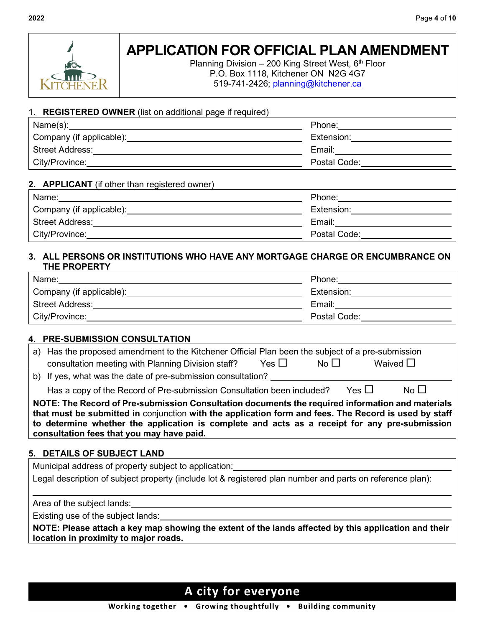

Planning Division  $-200$  King Street West,  $6<sup>th</sup>$  Floor P.O. Box 1118, Kitchener ON N2G 4G7 519-741-2426; [planning@kitchener.ca](mailto:planning@kitchener.ca)

#### 1. **REGISTERED OWNER** (list on additional page if required)

| Name(s):                 | Phone:       |
|--------------------------|--------------|
| Company (if applicable): | Extension:   |
| l Street Address:        | Email:       |
| City/Province:           | Postal Code: |

### **2. APPLICANT** (if other than registered owner)

| Name:                    | Phone:       |
|--------------------------|--------------|
| Company (if applicable): | Extension:   |
| <b>Street Address:</b>   | Email:       |
| City/Province:           | Postal Code: |

### **3. ALL PERSONS OR INSTITUTIONS WHO HAVE ANY MORTGAGE CHARGE OR ENCUMBRANCE ON THE PROPERTY**

| Name:                    | Phone:       |
|--------------------------|--------------|
| Company (if applicable): | Extension:   |
| <b>Street Address:</b>   | Email:       |
| City/Province:           | Postal Code: |

### **4. PRE-SUBMISSION CONSULTATION**

|                                                                                                                                                                                                                                                                                                            | a) Has the proposed amendment to the Kitchener Official Plan been the subject of a pre-submission<br>No $\square$<br>Waived $\square$<br>Yes $\Box$<br>consultation meeting with Planning Division staff? |  |  |
|------------------------------------------------------------------------------------------------------------------------------------------------------------------------------------------------------------------------------------------------------------------------------------------------------------|-----------------------------------------------------------------------------------------------------------------------------------------------------------------------------------------------------------|--|--|
|                                                                                                                                                                                                                                                                                                            | b) If yes, what was the date of pre-submission consultation?                                                                                                                                              |  |  |
|                                                                                                                                                                                                                                                                                                            | Yes $\Box$<br>No $\square$<br>Has a copy of the Record of Pre-submission Consultation been included?                                                                                                      |  |  |
| NOTE: The Record of Pre-submission Consultation documents the required information and materials<br>that must be submitted in conjunction with the application form and fees. The Record is used by staff<br>to determine whether the application is complete and acts as a receipt for any pre-submission |                                                                                                                                                                                                           |  |  |

**consultation fees that you may have paid.**

### **5. DETAILS OF SUBJECT LAND**

Municipal address of property subject to application:

Legal description of subject property (include lot & registered plan number and parts on reference plan):

Area of the subject lands:

Existing use of the subject lands:

**NOTE: Please attach a key map showing the extent of the lands affected by this application and their location in proximity to major roads.**

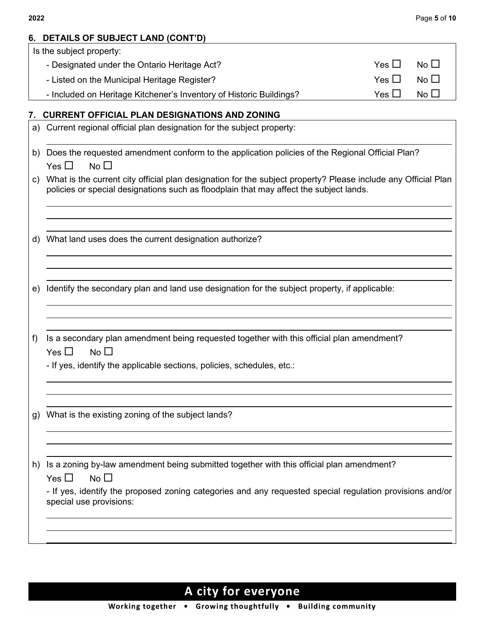| 6. | <b>DETAILS OF SUBJECT LAND (CONT'D)</b>                                                                                                                                                                 |            |              |
|----|---------------------------------------------------------------------------------------------------------------------------------------------------------------------------------------------------------|------------|--------------|
|    | Is the subject property:                                                                                                                                                                                |            |              |
|    | - Designated under the Ontario Heritage Act?                                                                                                                                                            | Yes $\Box$ | No $\square$ |
|    | - Listed on the Municipal Heritage Register?                                                                                                                                                            | Yes $\Box$ | No $\square$ |
|    | - Included on Heritage Kitchener's Inventory of Historic Buildings?                                                                                                                                     | Yes $\Box$ | No $\square$ |
| 7. | <b>CURRENT OFFICIAL PLAN DESIGNATIONS AND ZONING</b>                                                                                                                                                    |            |              |
| a) | Current regional official plan designation for the subject property:                                                                                                                                    |            |              |
| b) | Does the requested amendment conform to the application policies of the Regional Official Plan?<br>No $\square$<br>Yes $\Box$                                                                           |            |              |
| C) | What is the current city official plan designation for the subject property? Please include any Official Plan<br>policies or special designations such as floodplain that may affect the subject lands. |            |              |
| d) | What land uses does the current designation authorize?                                                                                                                                                  |            |              |
| e) | Identify the secondary plan and land use designation for the subject property, if applicable:                                                                                                           |            |              |
| f) | Is a secondary plan amendment being requested together with this official plan amendment?<br>Yes $\Box$<br>No $\square$<br>- If yes, identify the applicable sections, policies, schedules, etc.:       |            |              |
|    |                                                                                                                                                                                                         |            |              |
| g) | What is the existing zoning of the subject lands?                                                                                                                                                       |            |              |
|    |                                                                                                                                                                                                         |            |              |
| h) | Is a zoning by-law amendment being submitted together with this official plan amendment?<br>No $\square$<br>Yes $\Box$                                                                                  |            |              |
|    | - If yes, identify the proposed zoning categories and any requested special regulation provisions and/or<br>special use provisions:                                                                     |            |              |
|    |                                                                                                                                                                                                         |            |              |
|    |                                                                                                                                                                                                         |            |              |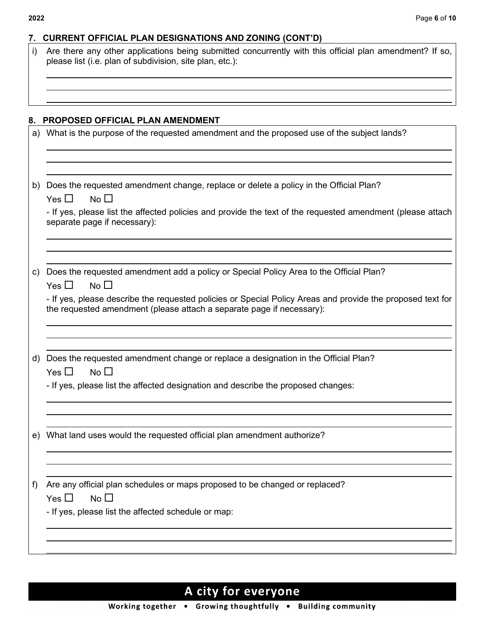| i) | Are there any other applications being submitted concurrently with this official plan amendment? If so,<br>please list (i.e. plan of subdivision, site plan, etc.):                 |
|----|-------------------------------------------------------------------------------------------------------------------------------------------------------------------------------------|
|    |                                                                                                                                                                                     |
| 8. | PROPOSED OFFICIAL PLAN AMENDMENT                                                                                                                                                    |
|    | a) What is the purpose of the requested amendment and the proposed use of the subject lands?                                                                                        |
| b) | Does the requested amendment change, replace or delete a policy in the Official Plan?                                                                                               |
|    | Yes $\Box$<br>No $\square$<br>- If yes, please list the affected policies and provide the text of the requested amendment (please attach<br>separate page if necessary):            |
|    |                                                                                                                                                                                     |
| C) | Does the requested amendment add a policy or Special Policy Area to the Official Plan?<br>Yes $\Box$<br>No $\square$                                                                |
|    | - If yes, please describe the requested policies or Special Policy Areas and provide the proposed text for<br>the requested amendment (please attach a separate page if necessary): |
|    |                                                                                                                                                                                     |
|    | d) Does the requested amendment change or replace a designation in the Official Plan?<br>No $\square$<br>Yes $\Box$                                                                 |
|    | - If yes, please list the affected designation and describe the proposed changes:                                                                                                   |
| e) | What land uses would the requested official plan amendment authorize?                                                                                                               |
|    |                                                                                                                                                                                     |
| f) | Are any official plan schedules or maps proposed to be changed or replaced?<br>No $\Box$<br>Yes $\Box$                                                                              |
|    | - If yes, please list the affected schedule or map:                                                                                                                                 |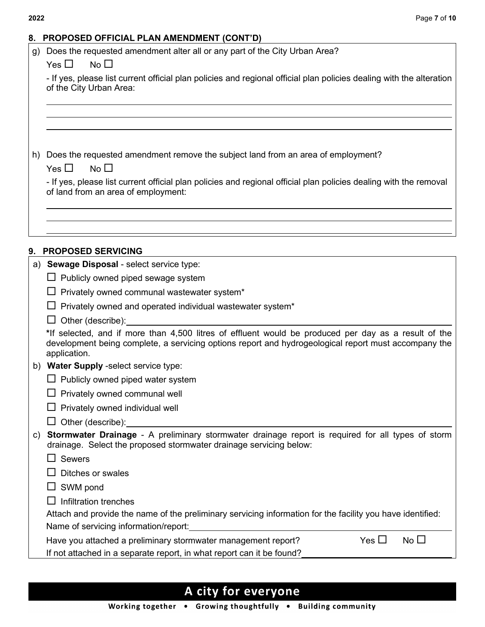### **8. PROPOSED OFFICIAL PLAN AMENDMENT (CONT'D)**

- g) Does the requested amendment alter all or any part of the City Urban Area?
	- $Yes \Box$  No  $\Box$

- If yes, please list current official plan policies and regional official plan policies dealing with the alteration of the City Urban Area:

h) Does the requested amendment remove the subject land from an area of employment?

- If yes, please list current official plan policies and regional official plan policies dealing with the removal of land from an area of employment:

### **9. PROPOSED SERVICING**

| a) | Sewage Disposal - select service type:                                                                                                                                                                                       |
|----|------------------------------------------------------------------------------------------------------------------------------------------------------------------------------------------------------------------------------|
|    | $\Box$ Publicly owned piped sewage system                                                                                                                                                                                    |
|    | Privately owned communal wastewater system*                                                                                                                                                                                  |
|    | Privately owned and operated individual wastewater system*                                                                                                                                                                   |
|    | Other (describe):                                                                                                                                                                                                            |
|    | *If selected, and if more than 4,500 litres of effluent would be produced per day as a result of the<br>development being complete, a servicing options report and hydrogeological report must accompany the<br>application. |
| b) | Water Supply -select service type:                                                                                                                                                                                           |
|    | $\Box$ Publicly owned piped water system                                                                                                                                                                                     |
|    | Privately owned communal well                                                                                                                                                                                                |
|    | Privately owned individual well                                                                                                                                                                                              |
|    | Other (describe): <u>contained</u>                                                                                                                                                                                           |
| C) | Stormwater Drainage - A preliminary stormwater drainage report is required for all types of storm<br>drainage. Select the proposed stormwater drainage servicing below:                                                      |
|    | <b>Sewers</b>                                                                                                                                                                                                                |
|    | Ditches or swales                                                                                                                                                                                                            |
|    | SWM pond                                                                                                                                                                                                                     |
|    | Infiltration trenches                                                                                                                                                                                                        |
|    | Attach and provide the name of the preliminary servicing information for the facility you have identified:                                                                                                                   |
|    | Name of servicing information/report:                                                                                                                                                                                        |
|    | Yes $\Box$<br>$No$ $\Box$<br>Have you attached a preliminary stormwater management report?                                                                                                                                   |
|    | If not attached in a separate report, in what report can it be found?                                                                                                                                                        |
|    |                                                                                                                                                                                                                              |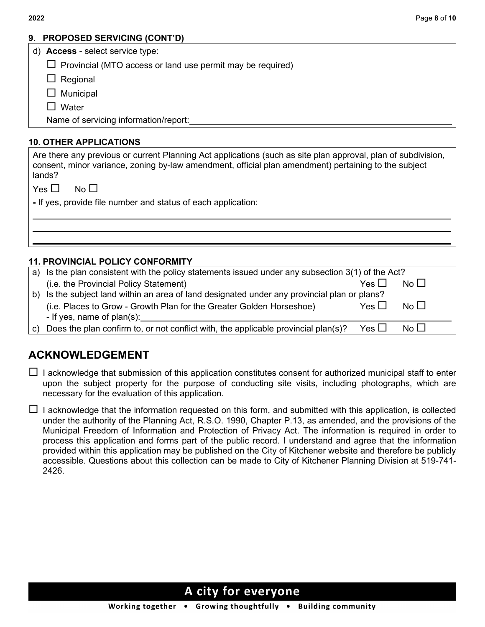### **9. PROPOSED SERVICING (CONT'D)**

|  |  | d) Access - select service type: |  |
|--|--|----------------------------------|--|
|--|--|----------------------------------|--|

 $\Box$  Provincial (MTO access or land use permit may be required)

 $\Box$  Regional

 $\Box$  Municipal

 $\Box$  Water

Name of servicing information/report:

### **10. OTHER APPLICATIONS**

Are there any previous or current Planning Act applications (such as site plan approval, plan of subdivision, consent, minor variance, zoning by-law amendment, official plan amendment) pertaining to the subject lands?

 $Yes \Box$  No  $\Pi$ 

**-** If yes, provide file number and status of each application:

### **11. PROVINCIAL POLICY CONFORMITY**

| (a) Is the plan consistent with the policy statements issued under any subsection 3(1) of the Act? |            |             |
|----------------------------------------------------------------------------------------------------|------------|-------------|
| (i.e. the Provincial Policy Statement)                                                             | Yes $\Box$ | No LI       |
| b) Is the subject land within an area of land designated under any provincial plan or plans?       |            |             |
| (i.e. Places to Grow - Growth Plan for the Greater Golden Horseshoe)                               | Yes $\Box$ | $No$ $\Box$ |
| - If yes, name of plan(s):                                                                         |            |             |
| c) Does the plan confirm to, or not conflict with, the applicable provincial plan(s)?              | Yes $\Box$ | No LI       |

## **ACKNOWLEDGEMENT**

 $\Box$  I acknowledge that submission of this application constitutes consent for authorized municipal staff to enter upon the subject property for the purpose of conducting site visits, including photographs, which are necessary for the evaluation of this application.

 $\Box$  I acknowledge that the information requested on this form, and submitted with this application, is collected under the authority of the Planning Act, R.S.O. 1990, Chapter P.13, as amended, and the provisions of the Municipal Freedom of Information and Protection of Privacy Act. The information is required in order to process this application and forms part of the public record. I understand and agree that the information provided within this application may be published on the City of Kitchener website and therefore be publicly accessible. Questions about this collection can be made to City of Kitchener Planning Division at 519-741- 2426.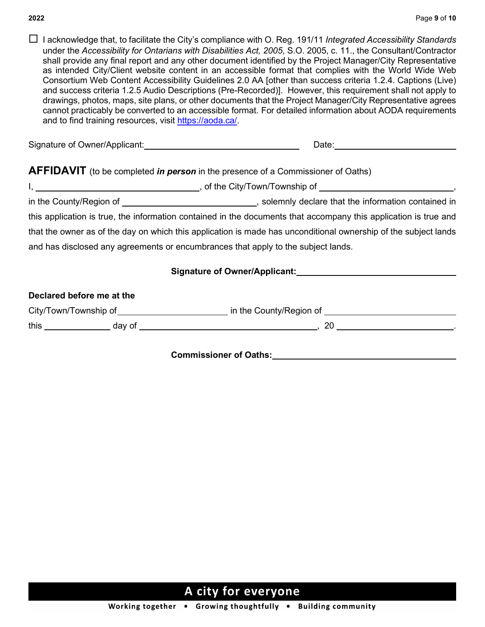I acknowledge that, to facilitate the City's compliance with O. Reg. 191/11 *Integrated Accessibility Standards* under the *Accessibility for Ontarians with Disabilities Act, 2005*, S.O. 2005, c. 11., the Consultant/Contractor shall provide any final report and any other document identified by the Project Manager/City Representative as intended City/Client website content in an accessible format that complies with the World Wide Web Consortium Web Content Accessibility Guidelines 2.0 AA [other than success criteria 1.2.4. Captions (Live) and success criteria 1.2.5 Audio Descriptions (Pre-Recorded)]. However, this requirement shall not apply to drawings, photos, maps, site plans, or other documents that the Project Manager/City Representative agrees cannot practicably be converted to an accessible format. For detailed information about AODA requirements and to find training resources, visit [https://aoda.ca/.](https://aoda.ca/)

| Signature of Owner/Applicant: | Date |
|-------------------------------|------|
|                               |      |

### **AFFIDAVIT** (to be completed *in person* in the presence of a Commissioner of Oaths)

| . . | /Town/Township of<br>الا: ان<br>of the Q |
|-----|------------------------------------------|
|     |                                          |

in the County/Region of \_\_\_\_\_\_\_\_\_\_\_\_\_\_\_\_\_\_\_\_\_\_\_\_\_\_\_\_\_\_\_, solemnly declare that the information contained in this application is true, the information contained in the documents that accompany this application is true and that the owner as of the day on which this application is made has unconditional ownership of the subject lands and has disclosed any agreements or encumbrances that apply to the subject lands.

### **Signature of Owner/Applicant:**

### **Declared before me at the**

| City/Town/Township of |        | in the County/Region of |  |
|-----------------------|--------|-------------------------|--|
| this                  | dav of | ▵                       |  |

**Commissioner of Oaths:**